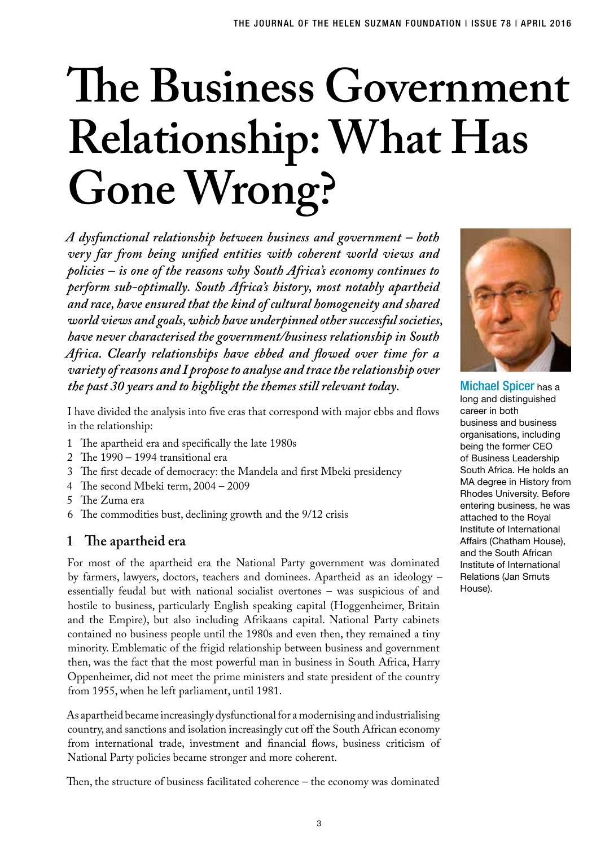# **The Business Government Relationship: What Has Gone Wrong?**

*A dysfunctional relationship between business and government – both very far from being unified entities with coherent world views and policies – is one of the reasons why South Africa's economy continues to perform sub-optimally. South Africa's history, most notably apartheid and race, have ensured that the kind of cultural homogeneity and shared world views and goals, which have underpinned other successful societies, have never characterised the government/business relationship in South Africa. Clearly relationships have ebbed and flowed over time for a variety of reasons and I propose to analyse and trace the relationship over the past 30 years and to highlight the themes still relevant today.*

I have divided the analysis into five eras that correspond with major ebbs and flows in the relationship:

- 1 The apartheid era and specifically the late 1980s
- 2 The 1990 1994 transitional era
- 3 The first decade of democracy: the Mandela and first Mbeki presidency
- 4 The second Mbeki term, 2004 2009
- 5 The Zuma era
- 6 The commodities bust, declining growth and the 9/12 crisis

## **1 The apartheid era**

For most of the apartheid era the National Party government was dominated by farmers, lawyers, doctors, teachers and dominees. Apartheid as an ideology – essentially feudal but with national socialist overtones – was suspicious of and hostile to business, particularly English speaking capital (Hoggenheimer, Britain and the Empire), but also including Afrikaans capital. National Party cabinets contained no business people until the 1980s and even then, they remained a tiny minority. Emblematic of the frigid relationship between business and government then, was the fact that the most powerful man in business in South Africa, Harry Oppenheimer, did not meet the prime ministers and state president of the country from 1955, when he left parliament, until 1981.

As apartheid became increasingly dysfunctional for a modernising and industrialising country, and sanctions and isolation increasingly cut off the South African economy from international trade, investment and financial flows, business criticism of National Party policies became stronger and more coherent.

Then, the structure of business facilitated coherence – the economy was dominated



Michael Spicer has a long and distinguished career in both business and business organisations, including being the former CEO of Business Leadership South Africa. He holds an MA degree in History from Rhodes University. Before entering business, he was attached to the Royal Institute of International Affairs (Chatham House), and the South African Institute of International Relations (Jan Smuts House).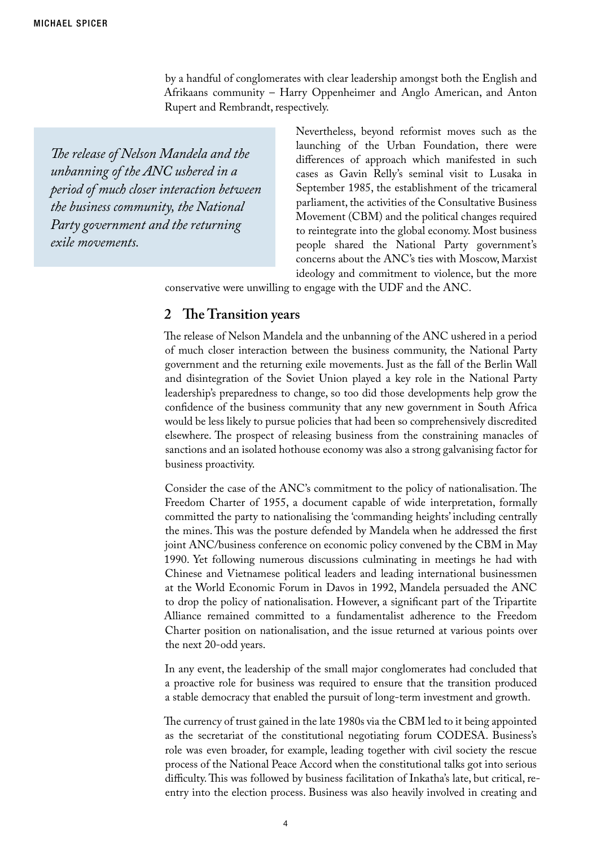by a handful of conglomerates with clear leadership amongst both the English and Afrikaans community – Harry Oppenheimer and Anglo American, and Anton Rupert and Rembrandt, respectively.

*The release of Nelson Mandela and the unbanning of the ANC ushered in a period of much closer interaction between the business community, the National Party government and the returning exile movements.*

Nevertheless, beyond reformist moves such as the launching of the Urban Foundation, there were differences of approach which manifested in such cases as Gavin Relly's seminal visit to Lusaka in September 1985, the establishment of the tricameral parliament, the activities of the Consultative Business Movement (CBM) and the political changes required to reintegrate into the global economy. Most business people shared the National Party government's concerns about the ANC's ties with Moscow, Marxist ideology and commitment to violence, but the more

conservative were unwilling to engage with the UDF and the ANC.

#### **2 The Transition years**

The release of Nelson Mandela and the unbanning of the ANC ushered in a period of much closer interaction between the business community, the National Party government and the returning exile movements. Just as the fall of the Berlin Wall and disintegration of the Soviet Union played a key role in the National Party leadership's preparedness to change, so too did those developments help grow the confidence of the business community that any new government in South Africa would be less likely to pursue policies that had been so comprehensively discredited elsewhere. The prospect of releasing business from the constraining manacles of sanctions and an isolated hothouse economy was also a strong galvanising factor for business proactivity.

Consider the case of the ANC's commitment to the policy of nationalisation. The Freedom Charter of 1955, a document capable of wide interpretation, formally committed the party to nationalising the 'commanding heights' including centrally the mines. This was the posture defended by Mandela when he addressed the first joint ANC/business conference on economic policy convened by the CBM in May 1990. Yet following numerous discussions culminating in meetings he had with Chinese and Vietnamese political leaders and leading international businessmen at the World Economic Forum in Davos in 1992, Mandela persuaded the ANC to drop the policy of nationalisation. However, a significant part of the Tripartite Alliance remained committed to a fundamentalist adherence to the Freedom Charter position on nationalisation, and the issue returned at various points over the next 20-odd years.

In any event, the leadership of the small major conglomerates had concluded that a proactive role for business was required to ensure that the transition produced a stable democracy that enabled the pursuit of long-term investment and growth.

The currency of trust gained in the late 1980s via the CBM led to it being appointed as the secretariat of the constitutional negotiating forum CODESA. Business's role was even broader, for example, leading together with civil society the rescue process of the National Peace Accord when the constitutional talks got into serious difficulty. This was followed by business facilitation of Inkatha's late, but critical, reentry into the election process. Business was also heavily involved in creating and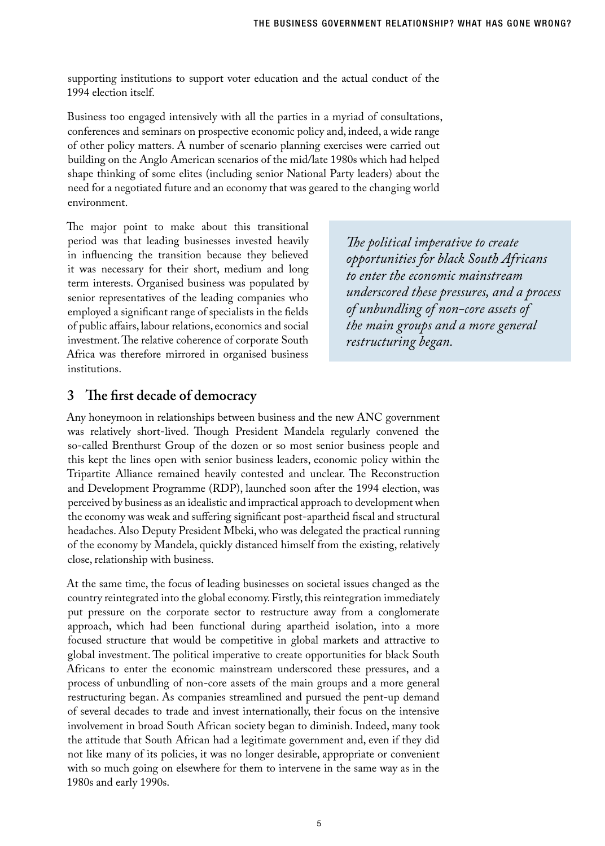supporting institutions to support voter education and the actual conduct of the 1994 election itself.

Business too engaged intensively with all the parties in a myriad of consultations, conferences and seminars on prospective economic policy and, indeed, a wide range of other policy matters. A number of scenario planning exercises were carried out building on the Anglo American scenarios of the mid/late 1980s which had helped shape thinking of some elites (including senior National Party leaders) about the need for a negotiated future and an economy that was geared to the changing world environment.

The major point to make about this transitional period was that leading businesses invested heavily in influencing the transition because they believed it was necessary for their short, medium and long term interests. Organised business was populated by senior representatives of the leading companies who employed a significant range of specialists in the fields of public affairs, labour relations, economics and social investment. The relative coherence of corporate South Africa was therefore mirrored in organised business institutions.

*The political imperative to create opportunities for black South Africans to enter the economic mainstream underscored these pressures, and a process of unbundling of non-core assets of the main groups and a more general restructuring began.*

## **3 The first decade of democracy**

Any honeymoon in relationships between business and the new ANC government was relatively short-lived. Though President Mandela regularly convened the so-called Brenthurst Group of the dozen or so most senior business people and this kept the lines open with senior business leaders, economic policy within the Tripartite Alliance remained heavily contested and unclear. The Reconstruction and Development Programme (RDP), launched soon after the 1994 election, was perceived by business as an idealistic and impractical approach to development when the economy was weak and suffering significant post-apartheid fiscal and structural headaches. Also Deputy President Mbeki, who was delegated the practical running of the economy by Mandela, quickly distanced himself from the existing, relatively close, relationship with business.

At the same time, the focus of leading businesses on societal issues changed as the country reintegrated into the global economy. Firstly, this reintegration immediately put pressure on the corporate sector to restructure away from a conglomerate approach, which had been functional during apartheid isolation, into a more focused structure that would be competitive in global markets and attractive to global investment. The political imperative to create opportunities for black South Africans to enter the economic mainstream underscored these pressures, and a process of unbundling of non-core assets of the main groups and a more general restructuring began. As companies streamlined and pursued the pent-up demand of several decades to trade and invest internationally, their focus on the intensive involvement in broad South African society began to diminish. Indeed, many took the attitude that South African had a legitimate government and, even if they did not like many of its policies, it was no longer desirable, appropriate or convenient with so much going on elsewhere for them to intervene in the same way as in the 1980s and early 1990s.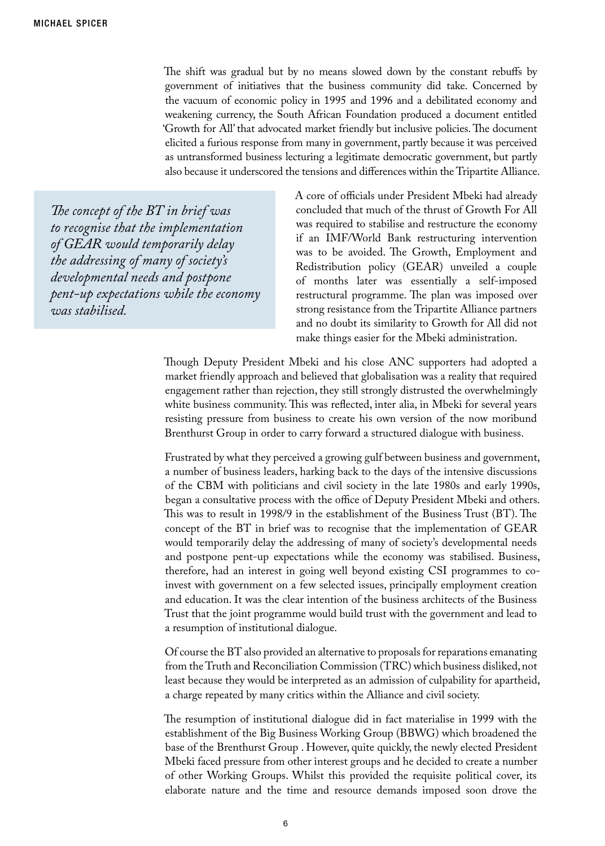The shift was gradual but by no means slowed down by the constant rebuffs by government of initiatives that the business community did take. Concerned by the vacuum of economic policy in 1995 and 1996 and a debilitated economy and weakening currency, the South African Foundation produced a document entitled 'Growth for All' that advocated market friendly but inclusive policies. The document elicited a furious response from many in government, partly because it was perceived as untransformed business lecturing a legitimate democratic government, but partly also because it underscored the tensions and differences within the Tripartite Alliance.

*The concept of the BT in brief was to recognise that the implementation of GEAR would temporarily delay the addressing of many of society's developmental needs and postpone pent-up expectations while the economy was stabilised.* 

A core of officials under President Mbeki had already concluded that much of the thrust of Growth For All was required to stabilise and restructure the economy if an IMF/World Bank restructuring intervention was to be avoided. The Growth, Employment and Redistribution policy (GEAR) unveiled a couple of months later was essentially a self-imposed restructural programme. The plan was imposed over strong resistance from the Tripartite Alliance partners and no doubt its similarity to Growth for All did not make things easier for the Mbeki administration.

Though Deputy President Mbeki and his close ANC supporters had adopted a market friendly approach and believed that globalisation was a reality that required engagement rather than rejection, they still strongly distrusted the overwhelmingly white business community. This was reflected, inter alia, in Mbeki for several years resisting pressure from business to create his own version of the now moribund Brenthurst Group in order to carry forward a structured dialogue with business.

Frustrated by what they perceived a growing gulf between business and government, a number of business leaders, harking back to the days of the intensive discussions of the CBM with politicians and civil society in the late 1980s and early 1990s, began a consultative process with the office of Deputy President Mbeki and others. This was to result in 1998/9 in the establishment of the Business Trust (BT). The concept of the BT in brief was to recognise that the implementation of GEAR would temporarily delay the addressing of many of society's developmental needs and postpone pent-up expectations while the economy was stabilised. Business, therefore, had an interest in going well beyond existing CSI programmes to coinvest with government on a few selected issues, principally employment creation and education. It was the clear intention of the business architects of the Business Trust that the joint programme would build trust with the government and lead to a resumption of institutional dialogue.

Of course the BT also provided an alternative to proposals for reparations emanating from the Truth and Reconciliation Commission (TRC) which business disliked, not least because they would be interpreted as an admission of culpability for apartheid, a charge repeated by many critics within the Alliance and civil society.

The resumption of institutional dialogue did in fact materialise in 1999 with the establishment of the Big Business Working Group (BBWG) which broadened the base of the Brenthurst Group . However, quite quickly, the newly elected President Mbeki faced pressure from other interest groups and he decided to create a number of other Working Groups. Whilst this provided the requisite political cover, its elaborate nature and the time and resource demands imposed soon drove the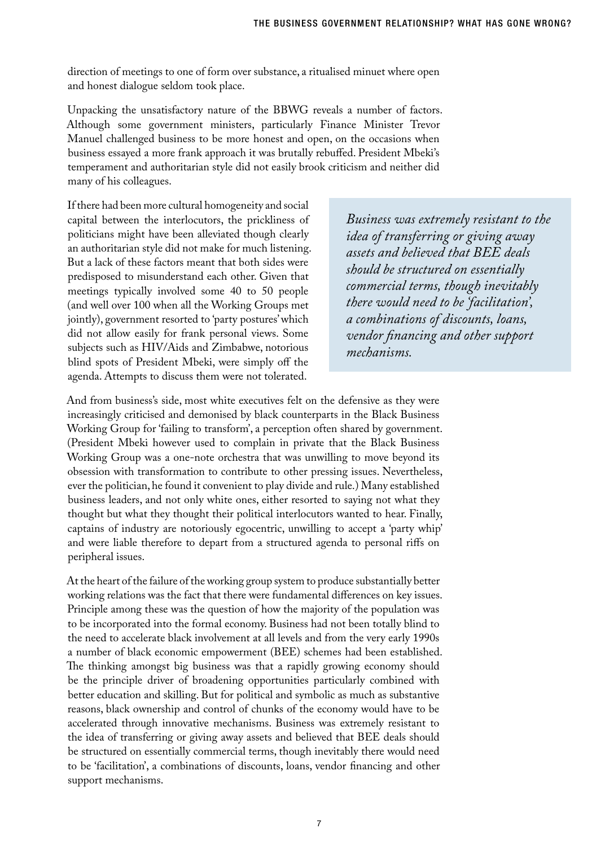direction of meetings to one of form over substance, a ritualised minuet where open and honest dialogue seldom took place.

Unpacking the unsatisfactory nature of the BBWG reveals a number of factors. Although some government ministers, particularly Finance Minister Trevor Manuel challenged business to be more honest and open, on the occasions when business essayed a more frank approach it was brutally rebuffed. President Mbeki's temperament and authoritarian style did not easily brook criticism and neither did many of his colleagues.

If there had been more cultural homogeneity and social capital between the interlocutors, the prickliness of politicians might have been alleviated though clearly an authoritarian style did not make for much listening. But a lack of these factors meant that both sides were predisposed to misunderstand each other. Given that meetings typically involved some 40 to 50 people (and well over 100 when all the Working Groups met jointly), government resorted to 'party postures' which did not allow easily for frank personal views. Some subjects such as HIV/Aids and Zimbabwe, notorious blind spots of President Mbeki, were simply off the agenda. Attempts to discuss them were not tolerated.

*Business was extremely resistant to the idea of transferring or giving away assets and believed that BEE deals should be structured on essentially commercial terms, though inevitably there would need to be 'facilitation', a combinations of discounts, loans, vendor financing and other support mechanisms.* 

And from business's side, most white executives felt on the defensive as they were increasingly criticised and demonised by black counterparts in the Black Business Working Group for 'failing to transform', a perception often shared by government. (President Mbeki however used to complain in private that the Black Business Working Group was a one-note orchestra that was unwilling to move beyond its obsession with transformation to contribute to other pressing issues. Nevertheless, ever the politician, he found it convenient to play divide and rule.) Many established business leaders, and not only white ones, either resorted to saying not what they thought but what they thought their political interlocutors wanted to hear. Finally, captains of industry are notoriously egocentric, unwilling to accept a 'party whip' and were liable therefore to depart from a structured agenda to personal riffs on peripheral issues.

At the heart of the failure of the working group system to produce substantially better working relations was the fact that there were fundamental differences on key issues. Principle among these was the question of how the majority of the population was to be incorporated into the formal economy. Business had not been totally blind to the need to accelerate black involvement at all levels and from the very early 1990s a number of black economic empowerment (BEE) schemes had been established. The thinking amongst big business was that a rapidly growing economy should be the principle driver of broadening opportunities particularly combined with better education and skilling. But for political and symbolic as much as substantive reasons, black ownership and control of chunks of the economy would have to be accelerated through innovative mechanisms. Business was extremely resistant to the idea of transferring or giving away assets and believed that BEE deals should be structured on essentially commercial terms, though inevitably there would need to be 'facilitation', a combinations of discounts, loans, vendor financing and other support mechanisms.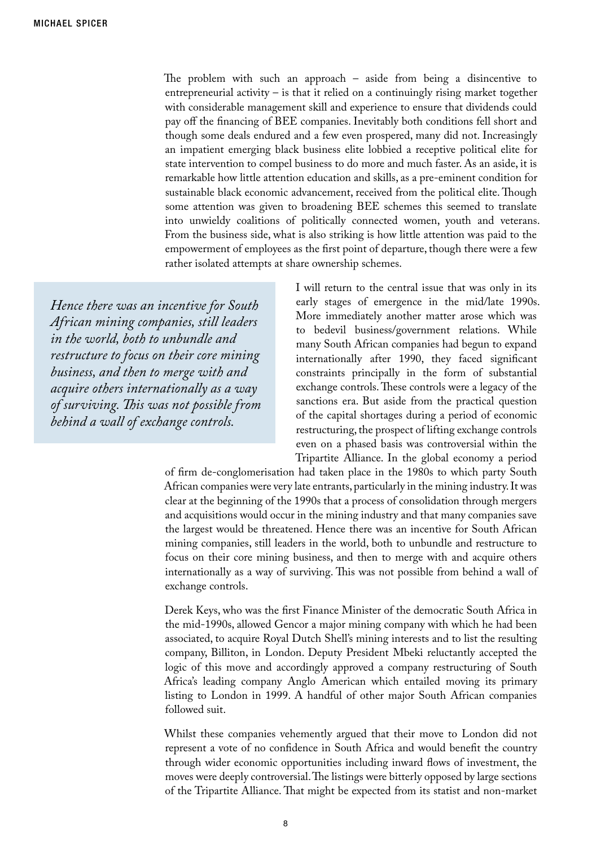The problem with such an approach – aside from being a disincentive to entrepreneurial activity – is that it relied on a continuingly rising market together with considerable management skill and experience to ensure that dividends could pay off the financing of BEE companies. Inevitably both conditions fell short and though some deals endured and a few even prospered, many did not. Increasingly an impatient emerging black business elite lobbied a receptive political elite for state intervention to compel business to do more and much faster. As an aside, it is remarkable how little attention education and skills, as a pre-eminent condition for sustainable black economic advancement, received from the political elite. Though some attention was given to broadening BEE schemes this seemed to translate into unwieldy coalitions of politically connected women, youth and veterans. From the business side, what is also striking is how little attention was paid to the empowerment of employees as the first point of departure, though there were a few rather isolated attempts at share ownership schemes.

*Hence there was an incentive for South African mining companies, still leaders in the world, both to unbundle and restructure to focus on their core mining business, and then to merge with and acquire others internationally as a way of surviving. This was not possible from behind a wall of exchange controls.*

I will return to the central issue that was only in its early stages of emergence in the mid/late 1990s. More immediately another matter arose which was to bedevil business/government relations. While many South African companies had begun to expand internationally after 1990, they faced significant constraints principally in the form of substantial exchange controls. These controls were a legacy of the sanctions era. But aside from the practical question of the capital shortages during a period of economic restructuring, the prospect of lifting exchange controls even on a phased basis was controversial within the Tripartite Alliance. In the global economy a period

of firm de-conglomerisation had taken place in the 1980s to which party South African companies were very late entrants, particularly in the mining industry. It was clear at the beginning of the 1990s that a process of consolidation through mergers and acquisitions would occur in the mining industry and that many companies save the largest would be threatened. Hence there was an incentive for South African mining companies, still leaders in the world, both to unbundle and restructure to focus on their core mining business, and then to merge with and acquire others internationally as a way of surviving. This was not possible from behind a wall of exchange controls.

Derek Keys, who was the first Finance Minister of the democratic South Africa in the mid-1990s, allowed Gencor a major mining company with which he had been associated, to acquire Royal Dutch Shell's mining interests and to list the resulting company, Billiton, in London. Deputy President Mbeki reluctantly accepted the logic of this move and accordingly approved a company restructuring of South Africa's leading company Anglo American which entailed moving its primary listing to London in 1999. A handful of other major South African companies followed suit.

Whilst these companies vehemently argued that their move to London did not represent a vote of no confidence in South Africa and would benefit the country through wider economic opportunities including inward flows of investment, the moves were deeply controversial. The listings were bitterly opposed by large sections of the Tripartite Alliance. That might be expected from its statist and non-market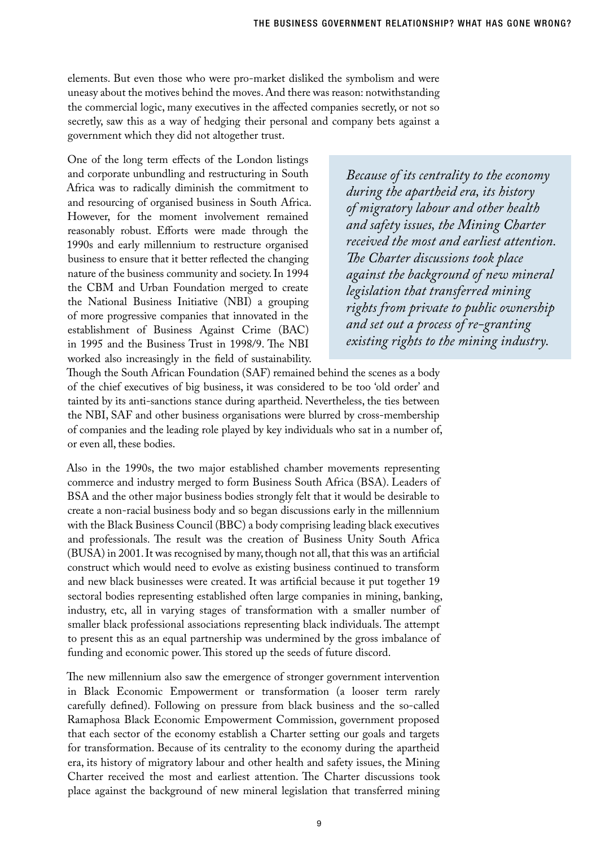elements. But even those who were pro-market disliked the symbolism and were uneasy about the motives behind the moves. And there was reason: notwithstanding the commercial logic, many executives in the affected companies secretly, or not so secretly, saw this as a way of hedging their personal and company bets against a government which they did not altogether trust.

One of the long term effects of the London listings and corporate unbundling and restructuring in South Africa was to radically diminish the commitment to and resourcing of organised business in South Africa. However, for the moment involvement remained reasonably robust. Efforts were made through the 1990s and early millennium to restructure organised business to ensure that it better reflected the changing nature of the business community and society. In 1994 the CBM and Urban Foundation merged to create the National Business Initiative (NBI) a grouping of more progressive companies that innovated in the establishment of Business Against Crime (BAC) in 1995 and the Business Trust in 1998/9. The NBI worked also increasingly in the field of sustainability.

*Because of its centrality to the economy during the apartheid era, its history of migratory labour and other health and safety issues, the Mining Charter received the most and earliest attention. The Charter discussions took place against the background of new mineral legislation that transferred mining rights from private to public ownership and set out a process of re-granting existing rights to the mining industry.* 

Though the South African Foundation (SAF) remained behind the scenes as a body of the chief executives of big business, it was considered to be too 'old order' and tainted by its anti-sanctions stance during apartheid. Nevertheless, the ties between the NBI, SAF and other business organisations were blurred by cross-membership of companies and the leading role played by key individuals who sat in a number of, or even all, these bodies.

Also in the 1990s, the two major established chamber movements representing commerce and industry merged to form Business South Africa (BSA). Leaders of BSA and the other major business bodies strongly felt that it would be desirable to create a non-racial business body and so began discussions early in the millennium with the Black Business Council (BBC) a body comprising leading black executives and professionals. The result was the creation of Business Unity South Africa (BUSA) in 2001. It was recognised by many, though not all, that this was an artificial construct which would need to evolve as existing business continued to transform and new black businesses were created. It was artificial because it put together 19 sectoral bodies representing established often large companies in mining, banking, industry, etc, all in varying stages of transformation with a smaller number of smaller black professional associations representing black individuals. The attempt to present this as an equal partnership was undermined by the gross imbalance of funding and economic power. This stored up the seeds of future discord.

The new millennium also saw the emergence of stronger government intervention in Black Economic Empowerment or transformation (a looser term rarely carefully defined). Following on pressure from black business and the so-called Ramaphosa Black Economic Empowerment Commission, government proposed that each sector of the economy establish a Charter setting our goals and targets for transformation. Because of its centrality to the economy during the apartheid era, its history of migratory labour and other health and safety issues, the Mining Charter received the most and earliest attention. The Charter discussions took place against the background of new mineral legislation that transferred mining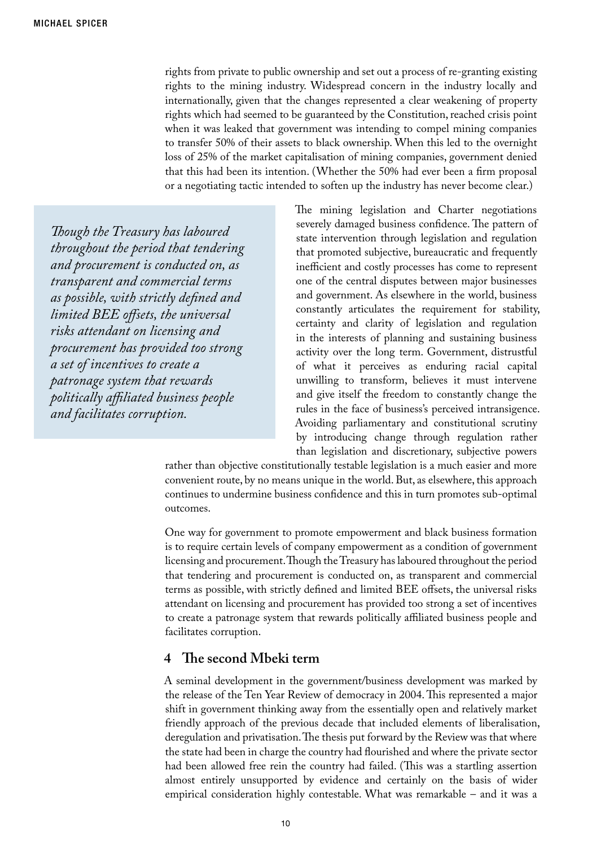rights from private to public ownership and set out a process of re-granting existing rights to the mining industry. Widespread concern in the industry locally and internationally, given that the changes represented a clear weakening of property rights which had seemed to be guaranteed by the Constitution, reached crisis point when it was leaked that government was intending to compel mining companies to transfer 50% of their assets to black ownership. When this led to the overnight loss of 25% of the market capitalisation of mining companies, government denied that this had been its intention. (Whether the 50% had ever been a firm proposal or a negotiating tactic intended to soften up the industry has never become clear.)

*Though the Treasury has laboured throughout the period that tendering and procurement is conducted on, as transparent and commercial terms as possible, with strictly defined and limited BEE offsets, the universal risks attendant on licensing and procurement has provided too strong a set of incentives to create a patronage system that rewards politically affiliated business people and facilitates corruption.* 

The mining legislation and Charter negotiations severely damaged business confidence. The pattern of state intervention through legislation and regulation that promoted subjective, bureaucratic and frequently inefficient and costly processes has come to represent one of the central disputes between major businesses and government. As elsewhere in the world, business constantly articulates the requirement for stability, certainty and clarity of legislation and regulation in the interests of planning and sustaining business activity over the long term. Government, distrustful of what it perceives as enduring racial capital unwilling to transform, believes it must intervene and give itself the freedom to constantly change the rules in the face of business's perceived intransigence. Avoiding parliamentary and constitutional scrutiny by introducing change through regulation rather than legislation and discretionary, subjective powers

rather than objective constitutionally testable legislation is a much easier and more convenient route, by no means unique in the world. But, as elsewhere, this approach continues to undermine business confidence and this in turn promotes sub-optimal outcomes.

One way for government to promote empowerment and black business formation is to require certain levels of company empowerment as a condition of government licensing and procurement. Though the Treasury has laboured throughout the period that tendering and procurement is conducted on, as transparent and commercial terms as possible, with strictly defined and limited BEE offsets, the universal risks attendant on licensing and procurement has provided too strong a set of incentives to create a patronage system that rewards politically affiliated business people and facilitates corruption.

#### **4 The second Mbeki term**

A seminal development in the government/business development was marked by the release of the Ten Year Review of democracy in 2004. This represented a major shift in government thinking away from the essentially open and relatively market friendly approach of the previous decade that included elements of liberalisation, deregulation and privatisation. The thesis put forward by the Review was that where the state had been in charge the country had flourished and where the private sector had been allowed free rein the country had failed. (This was a startling assertion almost entirely unsupported by evidence and certainly on the basis of wider empirical consideration highly contestable. What was remarkable – and it was a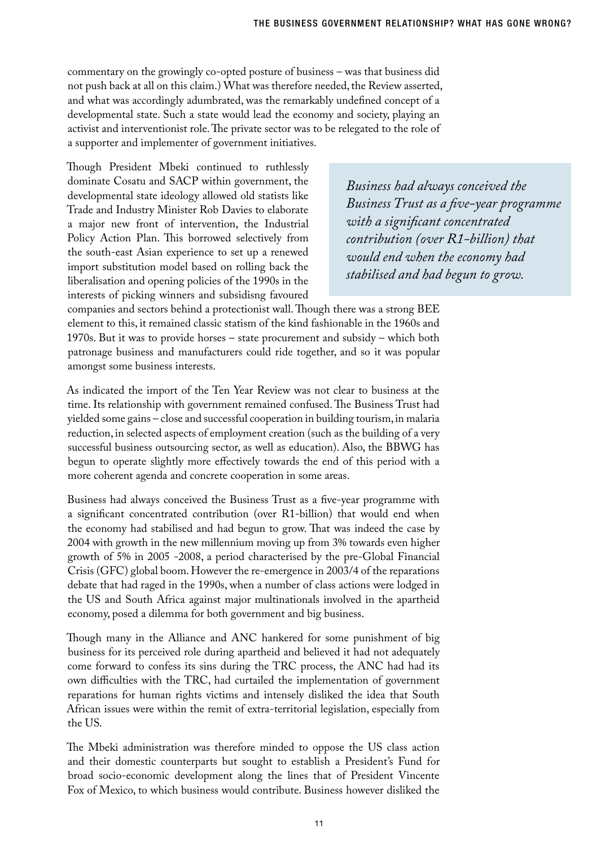commentary on the growingly co-opted posture of business – was that business did not push back at all on this claim.) What was therefore needed, the Review asserted, and what was accordingly adumbrated, was the remarkably undefined concept of a developmental state. Such a state would lead the economy and society, playing an activist and interventionist role. The private sector was to be relegated to the role of a supporter and implementer of government initiatives.

Though President Mbeki continued to ruthlessly dominate Cosatu and SACP within government, the developmental state ideology allowed old statists like Trade and Industry Minister Rob Davies to elaborate a major new front of intervention, the Industrial Policy Action Plan. This borrowed selectively from the south-east Asian experience to set up a renewed import substitution model based on rolling back the liberalisation and opening policies of the 1990s in the interests of picking winners and subsidisng favoured

*Business had always conceived the Business Trust as a five-year programme with a significant concentrated contribution (over R1-billion) that would end when the economy had stabilised and had begun to grow.* 

companies and sectors behind a protectionist wall. Though there was a strong BEE element to this, it remained classic statism of the kind fashionable in the 1960s and 1970s. But it was to provide horses – state procurement and subsidy – which both patronage business and manufacturers could ride together, and so it was popular amongst some business interests.

As indicated the import of the Ten Year Review was not clear to business at the time. Its relationship with government remained confused. The Business Trust had yielded some gains – close and successful cooperation in building tourism, in malaria reduction, in selected aspects of employment creation (such as the building of a very successful business outsourcing sector, as well as education). Also, the BBWG has begun to operate slightly more effectively towards the end of this period with a more coherent agenda and concrete cooperation in some areas.

Business had always conceived the Business Trust as a five-year programme with a significant concentrated contribution (over R1-billion) that would end when the economy had stabilised and had begun to grow. That was indeed the case by 2004 with growth in the new millennium moving up from 3% towards even higher growth of 5% in 2005 -2008, a period characterised by the pre-Global Financial Crisis (GFC) global boom. However the re-emergence in 2003/4 of the reparations debate that had raged in the 1990s, when a number of class actions were lodged in the US and South Africa against major multinationals involved in the apartheid economy, posed a dilemma for both government and big business.

Though many in the Alliance and ANC hankered for some punishment of big business for its perceived role during apartheid and believed it had not adequately come forward to confess its sins during the TRC process, the ANC had had its own difficulties with the TRC, had curtailed the implementation of government reparations for human rights victims and intensely disliked the idea that South African issues were within the remit of extra-territorial legislation, especially from the US.

The Mbeki administration was therefore minded to oppose the US class action and their domestic counterparts but sought to establish a President's Fund for broad socio-economic development along the lines that of President Vincente Fox of Mexico, to which business would contribute. Business however disliked the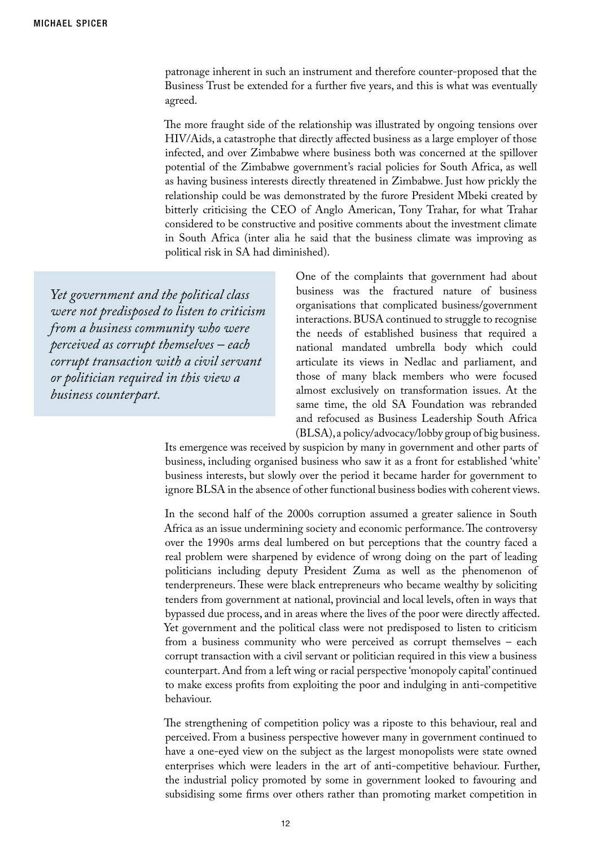patronage inherent in such an instrument and therefore counter-proposed that the Business Trust be extended for a further five years, and this is what was eventually agreed.

The more fraught side of the relationship was illustrated by ongoing tensions over HIV/Aids, a catastrophe that directly affected business as a large employer of those infected, and over Zimbabwe where business both was concerned at the spillover potential of the Zimbabwe government's racial policies for South Africa, as well as having business interests directly threatened in Zimbabwe. Just how prickly the relationship could be was demonstrated by the furore President Mbeki created by bitterly criticising the CEO of Anglo American, Tony Trahar, for what Trahar considered to be constructive and positive comments about the investment climate in South Africa (inter alia he said that the business climate was improving as political risk in SA had diminished).

*Yet government and the political class were not predisposed to listen to criticism from a business community who were perceived as corrupt themselves – each corrupt transaction with a civil servant or politician required in this view a business counterpart.*

One of the complaints that government had about business was the fractured nature of business organisations that complicated business/government interactions. BUSA continued to struggle to recognise the needs of established business that required a national mandated umbrella body which could articulate its views in Nedlac and parliament, and those of many black members who were focused almost exclusively on transformation issues. At the same time, the old SA Foundation was rebranded and refocused as Business Leadership South Africa (BLSA), a policy/advocacy/lobby group of big business.

Its emergence was received by suspicion by many in government and other parts of business, including organised business who saw it as a front for established 'white' business interests, but slowly over the period it became harder for government to ignore BLSA in the absence of other functional business bodies with coherent views.

In the second half of the 2000s corruption assumed a greater salience in South Africa as an issue undermining society and economic performance. The controversy over the 1990s arms deal lumbered on but perceptions that the country faced a real problem were sharpened by evidence of wrong doing on the part of leading politicians including deputy President Zuma as well as the phenomenon of tenderpreneurs. These were black entrepreneurs who became wealthy by soliciting tenders from government at national, provincial and local levels, often in ways that bypassed due process, and in areas where the lives of the poor were directly affected. Yet government and the political class were not predisposed to listen to criticism from a business community who were perceived as corrupt themselves – each corrupt transaction with a civil servant or politician required in this view a business counterpart. And from a left wing or racial perspective 'monopoly capital' continued to make excess profits from exploiting the poor and indulging in anti-competitive behaviour.

The strengthening of competition policy was a riposte to this behaviour, real and perceived. From a business perspective however many in government continued to have a one-eyed view on the subject as the largest monopolists were state owned enterprises which were leaders in the art of anti-competitive behaviour. Further, the industrial policy promoted by some in government looked to favouring and subsidising some firms over others rather than promoting market competition in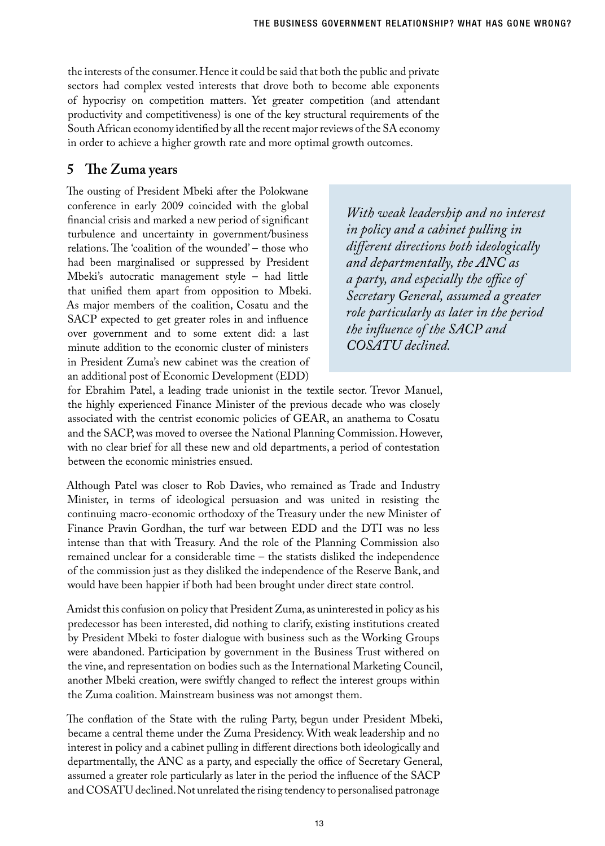the interests of the consumer. Hence it could be said that both the public and private sectors had complex vested interests that drove both to become able exponents of hypocrisy on competition matters. Yet greater competition (and attendant productivity and competitiveness) is one of the key structural requirements of the South African economy identified by all the recent major reviews of the SA economy in order to achieve a higher growth rate and more optimal growth outcomes.

### **5 The Zuma years**

The ousting of President Mbeki after the Polokwane conference in early 2009 coincided with the global financial crisis and marked a new period of significant turbulence and uncertainty in government/business relations. The 'coalition of the wounded' – those who had been marginalised or suppressed by President Mbeki's autocratic management style – had little that unified them apart from opposition to Mbeki. As major members of the coalition, Cosatu and the SACP expected to get greater roles in and influence over government and to some extent did: a last minute addition to the economic cluster of ministers in President Zuma's new cabinet was the creation of an additional post of Economic Development (EDD)

*With weak leadership and no interest in policy and a cabinet pulling in different directions both ideologically and departmentally, the ANC as a party, and especially the office of Secretary General, assumed a greater role particularly as later in the period the influence of the SACP and COSATU declined.* 

for Ebrahim Patel, a leading trade unionist in the textile sector. Trevor Manuel, the highly experienced Finance Minister of the previous decade who was closely associated with the centrist economic policies of GEAR, an anathema to Cosatu and the SACP, was moved to oversee the National Planning Commission. However, with no clear brief for all these new and old departments, a period of contestation between the economic ministries ensued.

Although Patel was closer to Rob Davies, who remained as Trade and Industry Minister, in terms of ideological persuasion and was united in resisting the continuing macro-economic orthodoxy of the Treasury under the new Minister of Finance Pravin Gordhan, the turf war between EDD and the DTI was no less intense than that with Treasury. And the role of the Planning Commission also remained unclear for a considerable time – the statists disliked the independence of the commission just as they disliked the independence of the Reserve Bank, and would have been happier if both had been brought under direct state control.

Amidst this confusion on policy that President Zuma, as uninterested in policy as his predecessor has been interested, did nothing to clarify, existing institutions created by President Mbeki to foster dialogue with business such as the Working Groups were abandoned. Participation by government in the Business Trust withered on the vine, and representation on bodies such as the International Marketing Council, another Mbeki creation, were swiftly changed to reflect the interest groups within the Zuma coalition. Mainstream business was not amongst them.

The conflation of the State with the ruling Party, begun under President Mbeki, became a central theme under the Zuma Presidency. With weak leadership and no interest in policy and a cabinet pulling in different directions both ideologically and departmentally, the ANC as a party, and especially the office of Secretary General, assumed a greater role particularly as later in the period the influence of the SACP and COSATU declined. Not unrelated the rising tendency to personalised patronage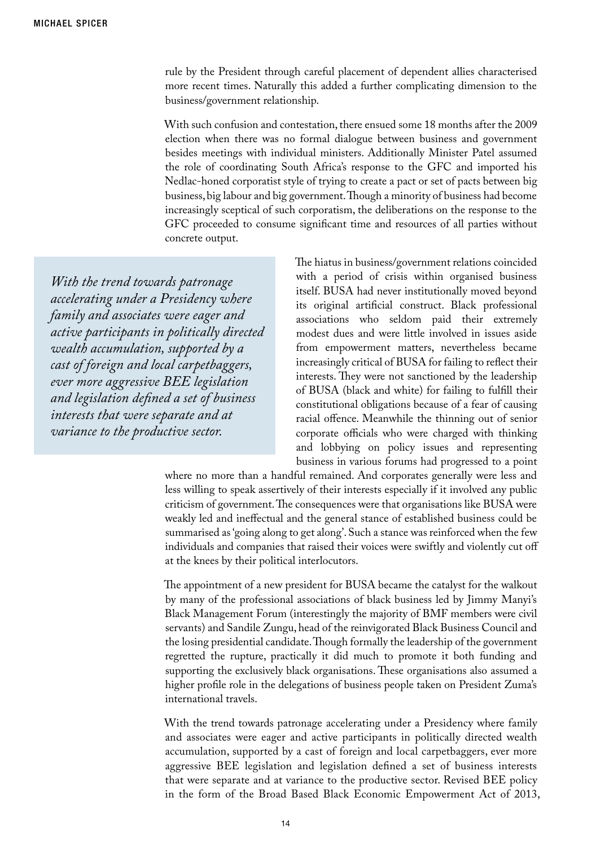rule by the President through careful placement of dependent allies characterised more recent times. Naturally this added a further complicating dimension to the business/government relationship.

With such confusion and contestation, there ensued some 18 months after the 2009 election when there was no formal dialogue between business and government besides meetings with individual ministers. Additionally Minister Patel assumed the role of coordinating South Africa's response to the GFC and imported his Nedlac-honed corporatist style of trying to create a pact or set of pacts between big business, big labour and big government. Though a minority of business had become increasingly sceptical of such corporatism, the deliberations on the response to the GFC proceeded to consume significant time and resources of all parties without concrete output.

*With the trend towards patronage accelerating under a Presidency where family and associates were eager and active participants in politically directed wealth accumulation, supported by a cast of foreign and local carpetbaggers, ever more aggressive BEE legislation and legislation defined a set of business interests that were separate and at variance to the productive sector.*

The hiatus in business/government relations coincided with a period of crisis within organised business itself. BUSA had never institutionally moved beyond its original artificial construct. Black professional associations who seldom paid their extremely modest dues and were little involved in issues aside from empowerment matters, nevertheless became increasingly critical of BUSA for failing to reflect their interests. They were not sanctioned by the leadership of BUSA (black and white) for failing to fulfill their constitutional obligations because of a fear of causing racial offence. Meanwhile the thinning out of senior corporate officials who were charged with thinking and lobbying on policy issues and representing business in various forums had progressed to a point

where no more than a handful remained. And corporates generally were less and less willing to speak assertively of their interests especially if it involved any public criticism of government. The consequences were that organisations like BUSA were weakly led and ineffectual and the general stance of established business could be summarised as 'going along to get along'. Such a stance was reinforced when the few individuals and companies that raised their voices were swiftly and violently cut off at the knees by their political interlocutors.

The appointment of a new president for BUSA became the catalyst for the walkout by many of the professional associations of black business led by Jimmy Manyi's Black Management Forum (interestingly the majority of BMF members were civil servants) and Sandile Zungu, head of the reinvigorated Black Business Council and the losing presidential candidate. Though formally the leadership of the government regretted the rupture, practically it did much to promote it both funding and supporting the exclusively black organisations. These organisations also assumed a higher profile role in the delegations of business people taken on President Zuma's international travels.

With the trend towards patronage accelerating under a Presidency where family and associates were eager and active participants in politically directed wealth accumulation, supported by a cast of foreign and local carpetbaggers, ever more aggressive BEE legislation and legislation defined a set of business interests that were separate and at variance to the productive sector. Revised BEE policy in the form of the Broad Based Black Economic Empowerment Act of 2013,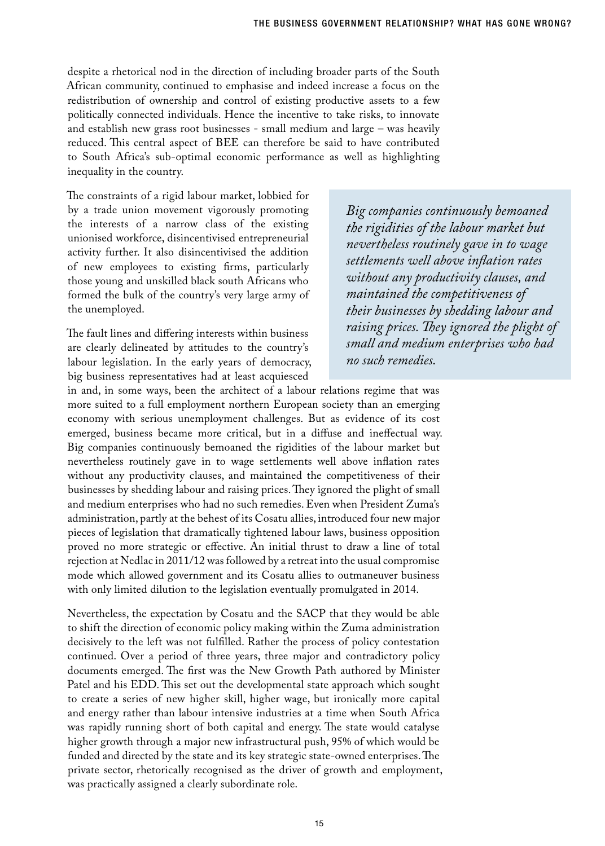despite a rhetorical nod in the direction of including broader parts of the South African community, continued to emphasise and indeed increase a focus on the redistribution of ownership and control of existing productive assets to a few politically connected individuals. Hence the incentive to take risks, to innovate and establish new grass root businesses - small medium and large – was heavily reduced. This central aspect of BEE can therefore be said to have contributed to South Africa's sub-optimal economic performance as well as highlighting inequality in the country.

The constraints of a rigid labour market, lobbied for by a trade union movement vigorously promoting the interests of a narrow class of the existing unionised workforce, disincentivised entrepreneurial activity further. It also disincentivised the addition of new employees to existing firms, particularly those young and unskilled black south Africans who formed the bulk of the country's very large army of the unemployed.

The fault lines and differing interests within business are clearly delineated by attitudes to the country's labour legislation. In the early years of democracy, big business representatives had at least acquiesced

*Big companies continuously bemoaned the rigidities of the labour market but nevertheless routinely gave in to wage settlements well above inflation rates without any productivity clauses, and maintained the competitiveness of their businesses by shedding labour and raising prices. They ignored the plight of small and medium enterprises who had no such remedies.*

in and, in some ways, been the architect of a labour relations regime that was more suited to a full employment northern European society than an emerging economy with serious unemployment challenges. But as evidence of its cost emerged, business became more critical, but in a diffuse and ineffectual way. Big companies continuously bemoaned the rigidities of the labour market but nevertheless routinely gave in to wage settlements well above inflation rates without any productivity clauses, and maintained the competitiveness of their businesses by shedding labour and raising prices. They ignored the plight of small and medium enterprises who had no such remedies. Even when President Zuma's administration, partly at the behest of its Cosatu allies, introduced four new major pieces of legislation that dramatically tightened labour laws, business opposition proved no more strategic or effective. An initial thrust to draw a line of total rejection at Nedlac in 2011/12 was followed by a retreat into the usual compromise mode which allowed government and its Cosatu allies to outmaneuver business with only limited dilution to the legislation eventually promulgated in 2014.

Nevertheless, the expectation by Cosatu and the SACP that they would be able to shift the direction of economic policy making within the Zuma administration decisively to the left was not fulfilled. Rather the process of policy contestation continued. Over a period of three years, three major and contradictory policy documents emerged. The first was the New Growth Path authored by Minister Patel and his EDD. This set out the developmental state approach which sought to create a series of new higher skill, higher wage, but ironically more capital and energy rather than labour intensive industries at a time when South Africa was rapidly running short of both capital and energy. The state would catalyse higher growth through a major new infrastructural push, 95% of which would be funded and directed by the state and its key strategic state-owned enterprises. The private sector, rhetorically recognised as the driver of growth and employment, was practically assigned a clearly subordinate role.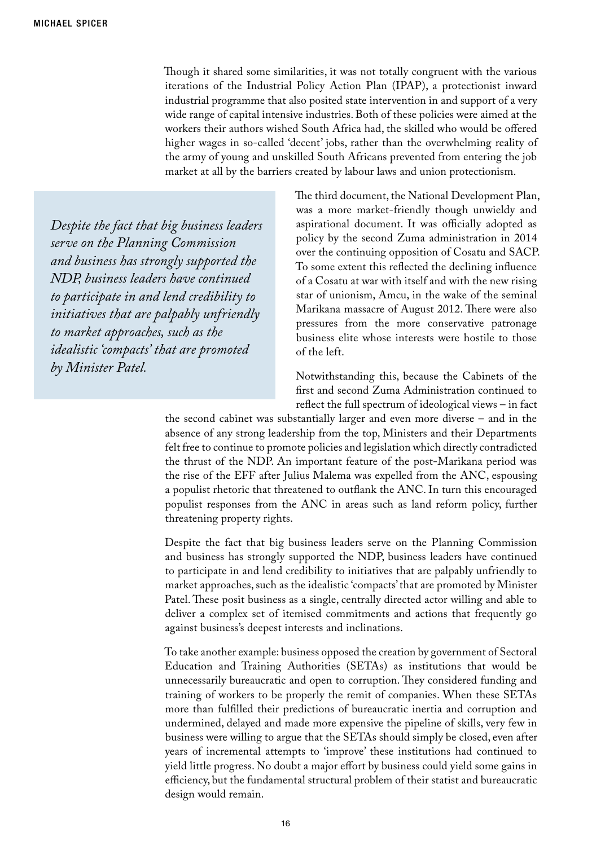Though it shared some similarities, it was not totally congruent with the various iterations of the Industrial Policy Action Plan (IPAP), a protectionist inward industrial programme that also posited state intervention in and support of a very wide range of capital intensive industries. Both of these policies were aimed at the workers their authors wished South Africa had, the skilled who would be offered higher wages in so-called 'decent' jobs, rather than the overwhelming reality of the army of young and unskilled South Africans prevented from entering the job market at all by the barriers created by labour laws and union protectionism.

*Despite the fact that big business leaders serve on the Planning Commission and business has strongly supported the NDP, business leaders have continued to participate in and lend credibility to initiatives that are palpably unfriendly to market approaches, such as the idealistic 'compacts' that are promoted by Minister Patel.*

The third document, the National Development Plan, was a more market-friendly though unwieldy and aspirational document. It was officially adopted as policy by the second Zuma administration in 2014 over the continuing opposition of Cosatu and SACP. To some extent this reflected the declining influence of a Cosatu at war with itself and with the new rising star of unionism, Amcu, in the wake of the seminal Marikana massacre of August 2012. There were also pressures from the more conservative patronage business elite whose interests were hostile to those of the left.

Notwithstanding this, because the Cabinets of the first and second Zuma Administration continued to reflect the full spectrum of ideological views – in fact

the second cabinet was substantially larger and even more diverse – and in the absence of any strong leadership from the top, Ministers and their Departments felt free to continue to promote policies and legislation which directly contradicted the thrust of the NDP. An important feature of the post-Marikana period was the rise of the EFF after Julius Malema was expelled from the ANC, espousing a populist rhetoric that threatened to outflank the ANC. In turn this encouraged populist responses from the ANC in areas such as land reform policy, further threatening property rights.

Despite the fact that big business leaders serve on the Planning Commission and business has strongly supported the NDP, business leaders have continued to participate in and lend credibility to initiatives that are palpably unfriendly to market approaches, such as the idealistic 'compacts' that are promoted by Minister Patel. These posit business as a single, centrally directed actor willing and able to deliver a complex set of itemised commitments and actions that frequently go against business's deepest interests and inclinations.

To take another example: business opposed the creation by government of Sectoral Education and Training Authorities (SETAs) as institutions that would be unnecessarily bureaucratic and open to corruption. They considered funding and training of workers to be properly the remit of companies. When these SETAs more than fulfilled their predictions of bureaucratic inertia and corruption and undermined, delayed and made more expensive the pipeline of skills, very few in business were willing to argue that the SETAs should simply be closed, even after years of incremental attempts to 'improve' these institutions had continued to yield little progress. No doubt a major effort by business could yield some gains in efficiency, but the fundamental structural problem of their statist and bureaucratic design would remain.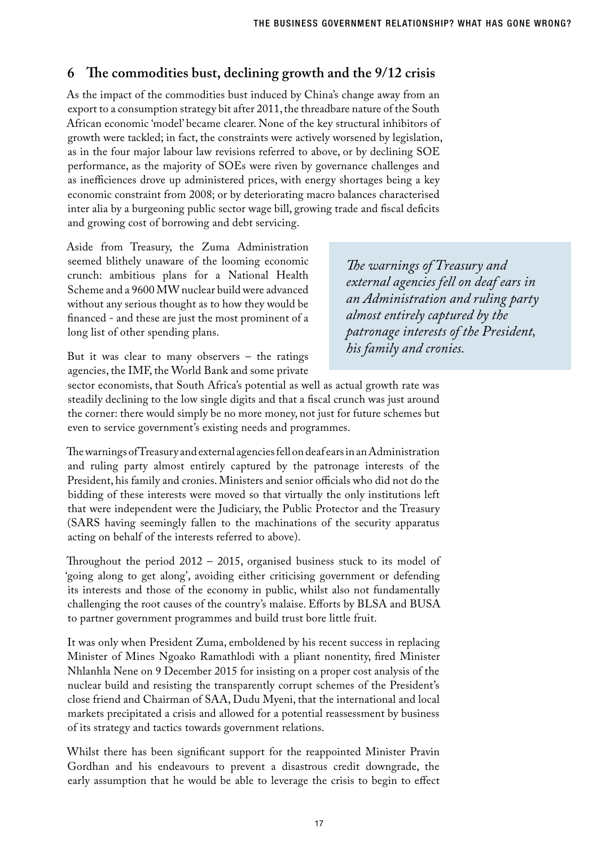## **6 The commodities bust, declining growth and the 9/12 crisis**

As the impact of the commodities bust induced by China's change away from an export to a consumption strategy bit after 2011, the threadbare nature of the South African economic 'model' became clearer. None of the key structural inhibitors of growth were tackled; in fact, the constraints were actively worsened by legislation, as in the four major labour law revisions referred to above, or by declining SOE performance, as the majority of SOEs were riven by governance challenges and as inefficiences drove up administered prices, with energy shortages being a key economic constraint from 2008; or by deteriorating macro balances characterised inter alia by a burgeoning public sector wage bill, growing trade and fiscal deficits and growing cost of borrowing and debt servicing.

Aside from Treasury, the Zuma Administration seemed blithely unaware of the looming economic crunch: ambitious plans for a National Health Scheme and a 9600 MW nuclear build were advanced without any serious thought as to how they would be financed - and these are just the most prominent of a long list of other spending plans.

*The warnings of Treasury and external agencies fell on deaf ears in an Administration and ruling party almost entirely captured by the patronage interests of the President, his family and cronies.* 

But it was clear to many observers – the ratings agencies, the IMF, the World Bank and some private

sector economists, that South Africa's potential as well as actual growth rate was steadily declining to the low single digits and that a fiscal crunch was just around the corner: there would simply be no more money, not just for future schemes but even to service government's existing needs and programmes.

The warnings of Treasury and external agencies fell on deaf ears in an Administration and ruling party almost entirely captured by the patronage interests of the President, his family and cronies. Ministers and senior officials who did not do the bidding of these interests were moved so that virtually the only institutions left that were independent were the Judiciary, the Public Protector and the Treasury (SARS having seemingly fallen to the machinations of the security apparatus acting on behalf of the interests referred to above).

Throughout the period 2012 – 2015, organised business stuck to its model of 'going along to get along', avoiding either criticising government or defending its interests and those of the economy in public, whilst also not fundamentally challenging the root causes of the country's malaise. Efforts by BLSA and BUSA to partner government programmes and build trust bore little fruit.

It was only when President Zuma, emboldened by his recent success in replacing Minister of Mines Ngoako Ramathlodi with a pliant nonentity, fired Minister Nhlanhla Nene on 9 December 2015 for insisting on a proper cost analysis of the nuclear build and resisting the transparently corrupt schemes of the President's close friend and Chairman of SAA, Dudu Myeni, that the international and local markets precipitated a crisis and allowed for a potential reassessment by business of its strategy and tactics towards government relations.

Whilst there has been significant support for the reappointed Minister Pravin Gordhan and his endeavours to prevent a disastrous credit downgrade, the early assumption that he would be able to leverage the crisis to begin to effect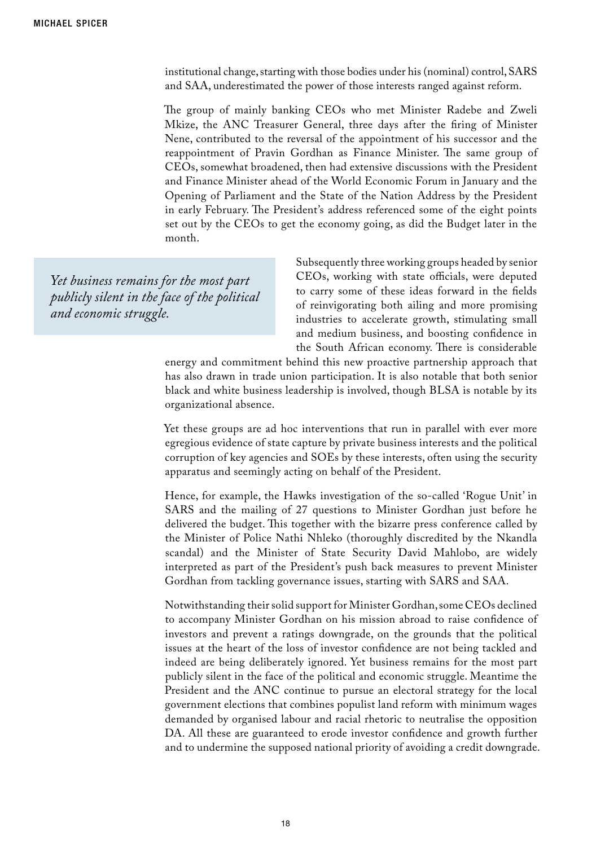institutional change, starting with those bodies under his (nominal) control, SARS and SAA, underestimated the power of those interests ranged against reform.

The group of mainly banking CEOs who met Minister Radebe and Zweli Mkize, the ANC Treasurer General, three days after the firing of Minister Nene, contributed to the reversal of the appointment of his successor and the reappointment of Pravin Gordhan as Finance Minister. The same group of CEOs, somewhat broadened, then had extensive discussions with the President and Finance Minister ahead of the World Economic Forum in January and the Opening of Parliament and the State of the Nation Address by the President in early February. The President's address referenced some of the eight points set out by the CEOs to get the economy going, as did the Budget later in the month.

*Yet business remains for the most part publicly silent in the face of the political and economic struggle.* 

Subsequently three working groups headed by senior CEOs, working with state officials, were deputed to carry some of these ideas forward in the fields of reinvigorating both ailing and more promising industries to accelerate growth, stimulating small and medium business, and boosting confidence in the South African economy. There is considerable

energy and commitment behind this new proactive partnership approach that has also drawn in trade union participation. It is also notable that both senior black and white business leadership is involved, though BLSA is notable by its organizational absence.

Yet these groups are ad hoc interventions that run in parallel with ever more egregious evidence of state capture by private business interests and the political corruption of key agencies and SOEs by these interests, often using the security apparatus and seemingly acting on behalf of the President.

Hence, for example, the Hawks investigation of the so-called 'Rogue Unit' in SARS and the mailing of 27 questions to Minister Gordhan just before he delivered the budget. This together with the bizarre press conference called by the Minister of Police Nathi Nhleko (thoroughly discredited by the Nkandla scandal) and the Minister of State Security David Mahlobo, are widely interpreted as part of the President's push back measures to prevent Minister Gordhan from tackling governance issues, starting with SARS and SAA.

Notwithstanding their solid support for Minister Gordhan, some CEOs declined to accompany Minister Gordhan on his mission abroad to raise confidence of investors and prevent a ratings downgrade, on the grounds that the political issues at the heart of the loss of investor confidence are not being tackled and indeed are being deliberately ignored. Yet business remains for the most part publicly silent in the face of the political and economic struggle. Meantime the President and the ANC continue to pursue an electoral strategy for the local government elections that combines populist land reform with minimum wages demanded by organised labour and racial rhetoric to neutralise the opposition DA. All these are guaranteed to erode investor confidence and growth further and to undermine the supposed national priority of avoiding a credit downgrade.